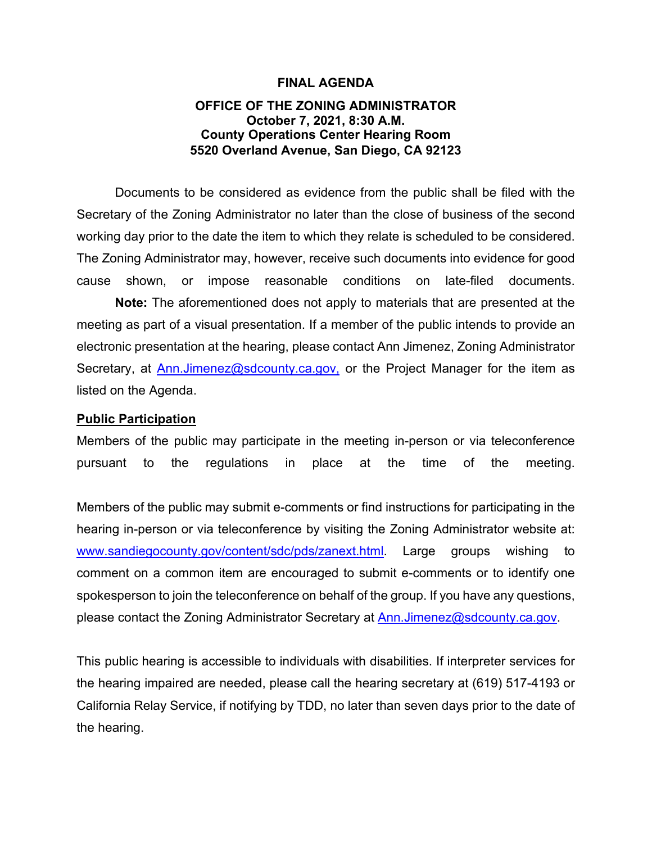### **FINAL AGENDA**

## **OFFICE OF THE ZONING ADMINISTRATOR October 7, 2021, 8:30 A.M. County Operations Center Hearing Room 5520 Overland Avenue, San Diego, CA 92123**

Documents to be considered as evidence from the public shall be filed with the Secretary of the Zoning Administrator no later than the close of business of the second working day prior to the date the item to which they relate is scheduled to be considered. The Zoning Administrator may, however, receive such documents into evidence for good cause shown, or impose reasonable conditions on late-filed documents.

**Note:** The aforementioned does not apply to materials that are presented at the meeting as part of a visual presentation. If a member of the public intends to provide an electronic presentation at the hearing, please contact Ann Jimenez, Zoning Administrator Secretary, at [Ann.Jimenez@sdcounty.ca.gov,](mailto:Ann.Jimenez@sdcounty.ca.gov) or the Project Manager for the item as listed on the Agenda.

#### **Public Participation**

Members of the public may participate in the meeting in-person or via teleconference pursuant to the regulations in place at the time of the meeting.

Members of the public may submit e-comments or find instructions for participating in the hearing in-person or via teleconference by visiting the Zoning Administrator website at: [www.sandiegocounty.gov/content/sdc/pds/zanext.html.](https://sdcountycagov.sharepoint.com/sites/LUEG-PDS-ZAReports/Shared%20Documents/General/9-17-21%20ZA%20Administration%20Files/www.sandiegocounty.gov/content/sdc/pds/zanext.html) Large groups wishing to comment on a common item are encouraged to submit e-comments or to identify one spokesperson to join the teleconference on behalf of the group. If you have any questions, please contact the Zoning Administrator Secretary at **Ann.Jimenez@sdcounty.ca.gov.** 

This public hearing is accessible to individuals with disabilities. If interpreter services for the hearing impaired are needed, please call the hearing secretary at (619) 517-4193 or California Relay Service, if notifying by TDD, no later than seven days prior to the date of the hearing.